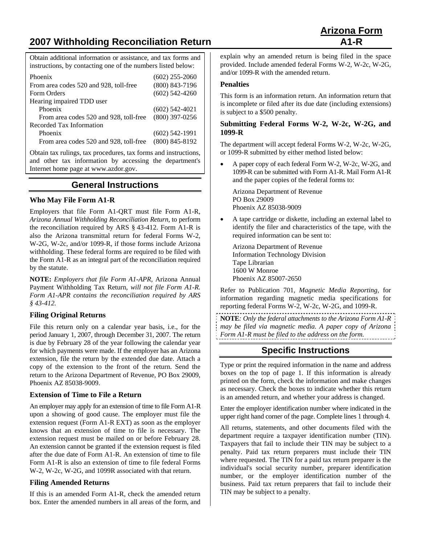# **2007 Withholding Reconciliation Return A1-R**

Obtain additional information or assistance, and tax forms and instructions, by contacting one of the numbers listed below:

| Phoenix<br>From area codes 520 and 928, toll-free<br>Form Orders | $(602)$ 255-2060<br>$(800) 843 - 7196$<br>$(602)$ 542-4260 |
|------------------------------------------------------------------|------------------------------------------------------------|
| Hearing impaired TDD user                                        |                                                            |
| Phoenix                                                          | $(602)$ 542-4021                                           |
| From area codes 520 and 928, toll-free                           | $(800)$ 397-0256                                           |
| Recorded Tax Information                                         |                                                            |
| Phoenix                                                          | $(602)$ 542-1991                                           |
| From area codes 520 and 928, toll-free                           | $(800)$ 845-8192                                           |

Obtain tax rulings, tax procedures, tax forms and instructions, and other tax information by accessing the department's Internet home page at www.azdor.gov.

# **General Instructions**

## **Who May File Form A1-R**

Employers that file Form A1-QRT must file Form A1-R, *Arizona Annual Withholding Reconciliation Return*, to perform the reconciliation required by ARS § 43-412. Form A1-R is also the Arizona transmittal return for federal Forms W-2, W-2G, W-2c, and/or 1099-R, if those forms include Arizona withholding. These federal forms are required to be filed with the Form A1-R as an integral part of the reconciliation required by the statute.

**NOTE:** *Employers that file Form A1-APR,* Arizona Annual Payment Withholding Tax Return*, will not file Form A1-R. Form A1-APR contains the reconciliation required by ARS § 43-412.*

## **Filing Original Returns**

File this return only on a calendar year basis, i.e., for the period January 1, 2007, through December 31, 2007. The return is due by February 28 of the year following the calendar year for which payments were made. If the employer has an Arizona extension, file the return by the extended due date. Attach a copy of the extension to the front of the return. Send the return to the Arizona Department of Revenue, PO Box 29009, Phoenix AZ 85038-9009.

#### **Extension of Time to File a Return**

An employer may apply for an extension of time to file Form A1-R upon a showing of good cause. The employer must file the extension request (Form A1-R EXT) as soon as the employer knows that an extension of time to file is necessary. The extension request must be mailed on or before February 28. An extension cannot be granted if the extension request is filed after the due date of Form A1-R. An extension of time to file Form A1-R is also an extension of time to file federal Forms W-2, W-2c, W-2G, and 1099R associated with that return.

## **Filing Amended Returns**

If this is an amended Form A1-R, check the amended return box. Enter the amended numbers in all areas of the form, and explain why an amended return is being filed in the space provided. Include amended federal Forms W-2, W-2c, W-2G, and/or 1099-R with the amended return.

#### **Penalties**

This form is an information return. An information return that is incomplete or filed after its due date (including extensions) is subject to a \$500 penalty.

#### **Submitting Federal Forms W-2, W-2c, W-2G, and 1099-R**

The department will accept federal Forms W-2, W-2c, W-2G, or 1099-R submitted by either method listed below:

• A paper copy of each federal Form W-2, W-2c, W-2G, and 1099-R can be submitted with Form A1-R. Mail Form A1-R and the paper copies of the federal forms to:

Arizona Department of Revenue PO Box 29009 Phoenix AZ 85038-9009

• A tape cartridge or diskette, including an external label to identify the filer and characteristics of the tape, with the required information can be sent to:

 Arizona Department of Revenue Information Technology Division Tape Librarian 1600 W Monroe Phoenix AZ 85007-2650

Refer to Publication 701, *Magnetic Media Reporting*, for information regarding magnetic media specifications for reporting federal Forms W-2, W-2c, W-2G, and 1099-R.

**NOTE***: Only the federal attachments to the Arizona Form A1-R may be filed via magnetic media. A paper copy of Arizona Form A1-R must be filed to the address on the form.* 

# **Specific Instructions**

Type or print the required information in the name and address boxes on the top of page 1. If this information is already printed on the form, check the information and make changes as necessary. Check the boxes to indicate whether this return is an amended return, and whether your address is changed.

Enter the employer identification number where indicated in the upper right hand corner of the page. Complete lines 1 through 4.

All returns, statements, and other documents filed with the department require a taxpayer identification number (TIN). Taxpayers that fail to include their TIN may be subject to a penalty. Paid tax return preparers must include their TIN where requested. The TIN for a paid tax return preparer is the individual's social security number, preparer identification number, or the employer identification number of the business. Paid tax return preparers that fail to include their TIN may be subject to a penalty.